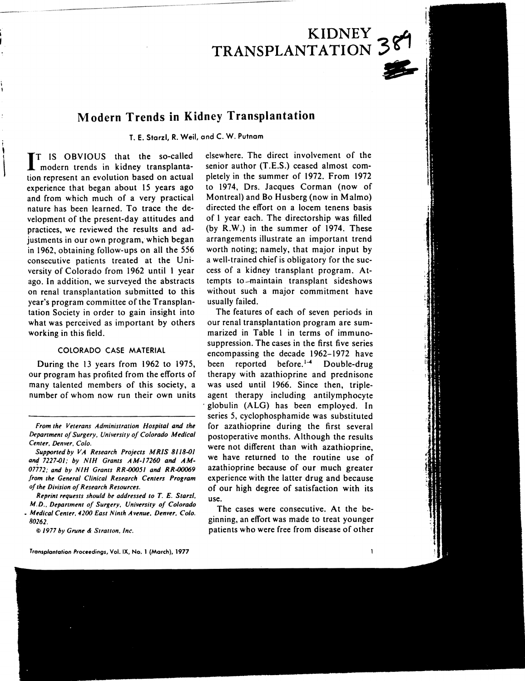# **KIDNEY**  TRANSPLANTATION 389

# **Modern Trends in Kidney Transplantation**

T. E. Starzl, R. Weil, and C. W. Putnam

IT IS OBVIOUS that the so-called **I** modern trends in kidney transplantation represent an evolution based on actual experience that began about 15 years ago and from which much of a very practical nature has been learned. To trace the development of the present-day attitudes and practices, we reviewed the results and adjustments in our own program, which began in 1962, obtaining follow-ups on all the 556 consecutive patients treated at the University of Colorado from 1962 until 1 year ago. In addition, we surveyed the abstracts on renal transplantation submitted to this year's program committee of the Transplantation Society in order to gain insight into what was perceived as important by others working in this field.

! ,<br> $\ddot{\textbf{i}}$ 

 $\vert$ 

# COLORADO CASE MATERIAL

During the 13 years from 1962 to 1975, our program has profited from the efforts of many talented members of this society, a number of whom now run their own units

*From the Veterans Administration Hospital and the*  **Department of Surgery. University of Colorado Medical** *Center. Denver. Colo.* 

*Supported by VA Research Projects MRIS 81/8-0/*  and 7227-01; by NIH Grants AM-17260 and AM-07772; and by NIH Grants RR-00051 and RR-00069 from the General Clinical Research Centers Program *of the Division of Research Resources.* 

*Reprint requests should be addressed to* T. *E. Starzl. M.D., Department of Surgery, University of Colorado • Mtdical Cefller.* 4200 *East Ninth Avenue. Denver. Colo. 80262.* 

® *1977 by Grune* & *Stratton. Inc.* 

*Tronsplontotion* Proceedings, Vol. IX. No.1 (March), 1977

elsewhere. The direct involvement of the senior author (T.E.S.) ceased almost completely in the summer of 1972. From 1972 to 1974, Drs. Jacques Corman (now of Montreal) and Bo Husberg (now in Malmo) directed the effort on a locem tenens basis of 1 year each. The directorship was filled (by R.W.) in the summer of 1974. These arrangements illustrate an important trend worth noting; namely, that major input by a well· trained chief is obligatory for the success of a kidney transplant program. Attempts to -maintain transplant sideshows without such a major commitment have usually failed.

The features of each of seven periods in our renal transplantation program are summarized in Table I in terms of immunosuppression. The cases in the first five series encompassing the decade 1962-1972 have been reported before.<sup>1-4</sup> Double-drug therapy with azathioprine and prednisone was used until 1966. Since then, tripleagent therapy including antilymphocyte . globulin (ALG) has been employed. In series 5, cyclophosphamide was substituted for azathioprine during the first several postoperative months. Although the results were not different than with azathioprine, we have returned to the routine use of azathioprine because of our much greater experience with the latter drug and because of our high degree of satisfaction with its use.

The cases were consecutive. At the beginning, an effort was made to treat younger patients who were free from disease of other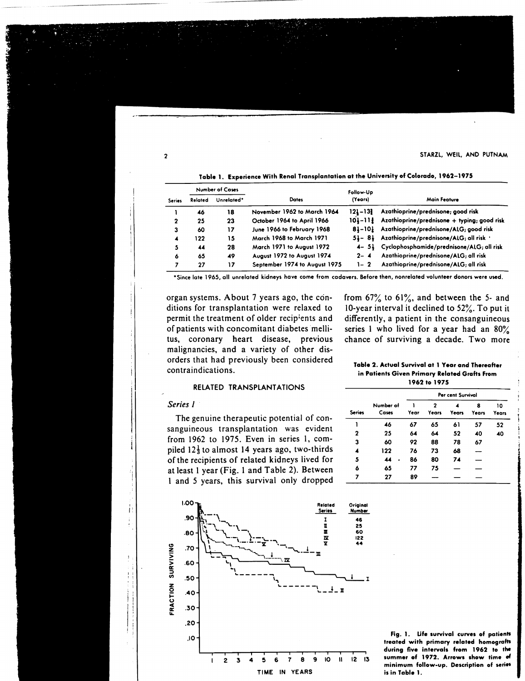2 STARZL, WEIL, AND PUTNAM

|               | <b>Number of Cases</b> |            |                               | Follow-Up   |                                                 |  |
|---------------|------------------------|------------|-------------------------------|-------------|-------------------------------------------------|--|
| <b>Series</b> | Related                | Unrelated* | <b>Dates</b>                  | (Years)     | Main Feature                                    |  |
|               | 46                     | 18         | November 1962 to March 1964   | 121-131     | Azathioprine/prednisone; good risk              |  |
| 2             | 25                     | 23         | October 1964 to April 1966    | $101 - 111$ | Azathioprine/prednisone + typing; good risk     |  |
| 3             | 60                     | 17         | June 1966 to February 1968    | 81-101      | Azathioprine/prednisone/ALG; good risk          |  |
| 4             | 122                    | 15         | March 1968 to March 1971      | $51 - 81$   | Azathioprine/prednisone/ALG; all risk '         |  |
| 5             | 44                     | 28         | March 1971 to August 1972     |             | 4- 5} Cyclophosphamide/prednisone/ALG; all risk |  |
| 6             | 65                     | 49         | August 1972 to August 1974    | $2 - 4$     | Azathioprine/prednisone/ALG; all risk           |  |
| 7             | 27                     | 17         | September 1974 to August 1975 | $1 - 2$     | Azathioprine/prednisone/ALG; all risk           |  |

Table 1. Experience With Renal Transplantation at the University of Colorado, 1962-1975

'Since late 1965. all unrelated kidneys have come from cadavers. Before then. non related volunteer donors were used.

organ systems. About 7 years ago, the conditions for transplantation were relaxed to permit the treatment of older recipients and of patients with concomitant diabetes 'mellitus, coronary heart disease, previous malignancies, and a variety of other disorders that had previously been considered contraindications.

# RELATED TRANSPLANTATIONS

#### *Series* J

I,  $\mathbf{I}$ : t

The genuine therapeutic potential of consanguineous transplantation was evident from 1962 to 1975. Even in series 1, compiled  $12\frac{1}{3}$  to almost 14 years ago, two-thirds of the recipients of related kidneys lived for at least I year (Fig. 1 and Table 2). Between I and 5 years, this survival only dropped



from  $67\%$  to  $61\%$ , and between the 5- and lO-year interval it declined to 52%. To put it differently, a patient in the consanguineous series 1 who lived for a year had an 80% chance of surviving a decade. Two more

Table 2. Actual Survival at 1 Year and Thereafter in Patients Given Primary Related Grafts From 1962 to 1975

|               |                    | Per cent Survival |            |              |            |             |  |
|---------------|--------------------|-------------------|------------|--------------|------------|-------------|--|
| <b>Series</b> | Number of<br>Cases | Year              | 2<br>Years | <b>Years</b> | 8<br>Years | 10<br>Years |  |
|               | 46                 | 67                | 65         | 61           | 57         | 52          |  |
| 2             | 25                 | 64                | 64         | 52           | 40         | 40          |  |
| 3             | 60                 | 92                | 88         | 78           | 67         |             |  |
| 4             | 122                | 76                | 73         | 68           |            |             |  |
| 5             | 44                 | 86                | 80         | 74           |            |             |  |
| 6             | 65                 | 77                | 75         |              |            |             |  |
| 7             | 27                 | 89                |            |              |            |             |  |

Fig. 1. Ufe survival curves of patients treated with primary related homografts during five intervals from 1962 to the summer of 1972. Arrows show time of minimum follow-up. Description of series is in Table 1.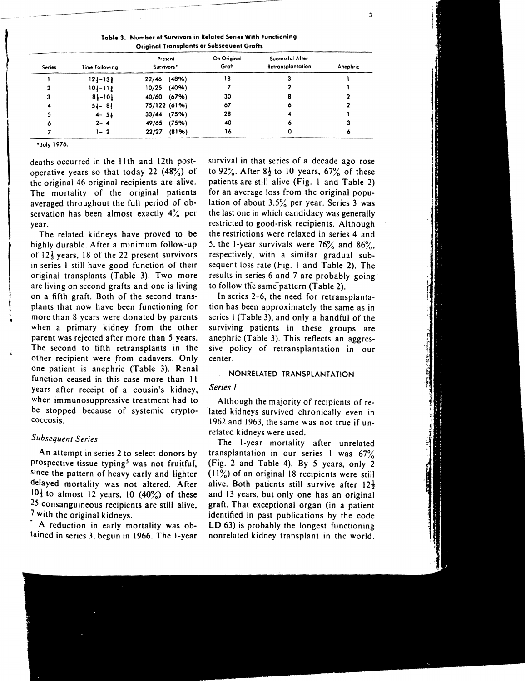Table 3. Number of Survivors in Related Series With Functioning Original Transplants or Subsequent Grafts

| <b>Series</b> | Time Following | Present<br>Survivors* | On Original<br>Graft | Successful After<br>Retransplantation | Anephric |
|---------------|----------------|-----------------------|----------------------|---------------------------------------|----------|
|               | $12 - 13$      | (48%)<br>22/46        | 18                   |                                       |          |
|               | $101 - 112$    | (40%)<br>10/25        |                      |                                       |          |
|               | $81 - 101$     | 40/60 (67%)           | 30                   | 8                                     |          |
|               | $5 - 8$        | 75/122 (61%)          | 67                   |                                       |          |
|               | $4 - 5$        | $33/44$ (75%)         | 28                   |                                       |          |
| ο             | $2 - 4$        | (75%)<br>49/65        | 40                   | ٥                                     |          |
|               | 1- 2           | (81%)<br>22/27        | 16                   |                                       | ۰        |

• July 1976.

I •<br>• deaths occurred in the 11th and 12th postoperative years so that today 22  $(48\%)$  of the original 46 original recipients are alive. The mortality of the original patients averaged throughout the full period of observation has been almost exactly 4% per year.

The related kidneys have proved to be highly durable. After a minimum follow-up of  $12\frac{1}{3}$  years, 18 of the 22 present survivors in series I still have good function of their original transplants (Table 3). Two more are living on second grafts and one is living on a fifth graft. Both of the second transplants that now have been functioning for more than 8 years were donated by parents when a primary kidney from the other parent was rejected after more than 5 years. The second to fifth retransplants in the other recipient were from cadavers. Only one patient is anephric (Table 3). Renal function ceased in this case more than II years after receipt of a cousin's kidney, when immunosuppressive treatment had to be stopped because of systemic cryptococcosis.

#### *Subsequent Series*

An attempt in series 2 to select donors by prospective tissue typing<sup>5</sup> was not fruitful, since the pattern of heavy early and lighter delayed mortality was not altered. After  $10\frac{1}{3}$  to almost 12 years, 10 (40%) of these 25 consanguineous recipients are still alive, 7 with the original kidneys.

A reduction in early mortality was obtained in series 3, begun in 1966. The I-year survival in that series of a decade ago rose to 92%. After  $8\frac{1}{2}$  to 10 years, 67% of these patients are still alive (Fig. I and Table 2) for an average loss from the original population of about 3.5% per year. Series 3 was the last one in which candidacy was generally restricted to good-risk recipients. Although the restrictions were relaxed in series 4 and 5, the 1-year survivals were  $76\%$  and  $86\%$ , respectively, with a similar gradual subsequent loss rate (Fig. I and Table 2). The results in series 6 and 7 are probably going to follow the same pattern (Table 2).

In series 2-6, the need for retransplantation has been approximately the same as in series 1 (Table 3), and only a handful of the surviving patients in these groups are anephric (Table 3). This reflects an aggressive policy of retransplantation in our center.

# NONRELATED TRANSPLANTATION

# *Series* J

Although the majority of recipients of re- 'lated kidneys survived chronically even in 1962 and 1963, the same was not true if unrelated kidneys were used.

The I-year mortality after unrelated transplantation in our series I was 67% (Fig. 2 and Table 4). By 5 years, only 2  $(11\%)$  of an original 18 recipients were still alive. Both patients still survive after  $12\frac{1}{2}$ and 13 years, but only one has an original graft. That exceptional organ (in a patient identified in past publications by the code LD 63) is probably the longest functioning non related kidney transplant in the world.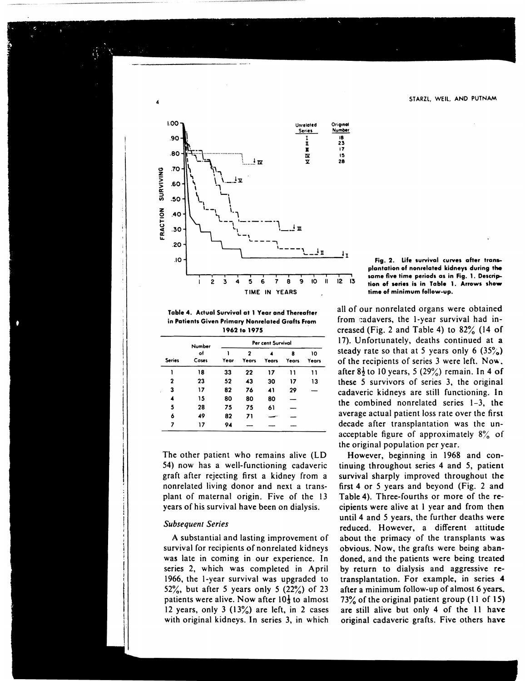

4

Table 4. Actual Survival at 1 Year and Thereafter in Patients Given Primary Nonrelated Grafts From 1962 to 1975

|               | Number      | Per cent Survival |                                  |              |            |             |  |
|---------------|-------------|-------------------|----------------------------------|--------------|------------|-------------|--|
| <b>Series</b> | of<br>Cases | Year              | $\overline{\mathbf{z}}$<br>Years | <b>Years</b> | 8<br>Years | 10<br>Years |  |
| 1             | 18          | 33                | 22                               | 17           | וו         | 11          |  |
| 2             | 23          | 52                | 43                               | 30           | 17         | 13          |  |
| 3             | 17          | 82                | 76                               | 41           | 29         |             |  |
|               | 15          | 80                | 80                               | 80           |            |             |  |
| 5             | 28          | 75                | 75                               | 61           |            |             |  |
| 6             | 49          | 82                | 71                               |              |            |             |  |
| 7             | 17          | 94                |                                  |              |            |             |  |

The other patient who remains alive (LD 54) now has a well-functioning cadaveric graft after rejecting first a kidney from a nonrelated living donor and next a transplant of maternal origin. Five of the 13 years of his survival have been on dialysis.

# *Subsequent Series*

A substantial and lasting improvement of survival for recipients of nonrelated kidneys was late in coming in our experience. In series 2, which was completed in April 1966, the I-year survival was upgraded to 52%, but after 5 years only 5  $(22\%)$  of 23 patients were alive. Now after  $10\frac{1}{3}$  to almost 12 years, only 3  $(13\%)$  are left, in 2 cases with original kidneys. In series 3, in which

Fig. 2. Life survival curves after transplantation of nonrelated kidneys during the same five time periods as in Fig. 1. Description of series is in Table 1. Arrows show time of minimum follow-up.

all of our nonrelated organs were obtained from cadavers, the  $l$ -year survival had increased (Fig. 2 and Table 4) to 82% (14 of 17). Unfortunately, deaths continued at a steady rate so that at 5 years only 6  $(35\%)$ of the recipients of series  $3$  were left. Now. after  $8\frac{1}{2}$  to 10 years, 5 (29%) remain. In 4 of these 5 survivors of series 3, the original cadaveric kidneys are still functioning. In the combined nonrelated series 1-3, the average actual patient loss rate over the first decade after transplantation was the unacceptable figure of approximately  $8\%$  of the original population per year.

However, beginning in 1968 and continuing throughout series 4 and 5, patient survival sharply improved throughout the first 4 or 5 years and beyond (Fig. 2 and Table 4). Three-fourths or more of the recipients were alive at I year and from then until 4 and 5 years, the further deaths were reduced. However, a different attitude about the primacy of the transplants was obvious. Now, the grafts were being abandoned, and the patients were being treated by return to dialysis and aggressive retransplantation. For example, in series 4 after a minimum follow-up of almost 6 years., 73% of the original patient group (II of 15) are still alive but only 4 of the II have original cadaveric grafts. Five others have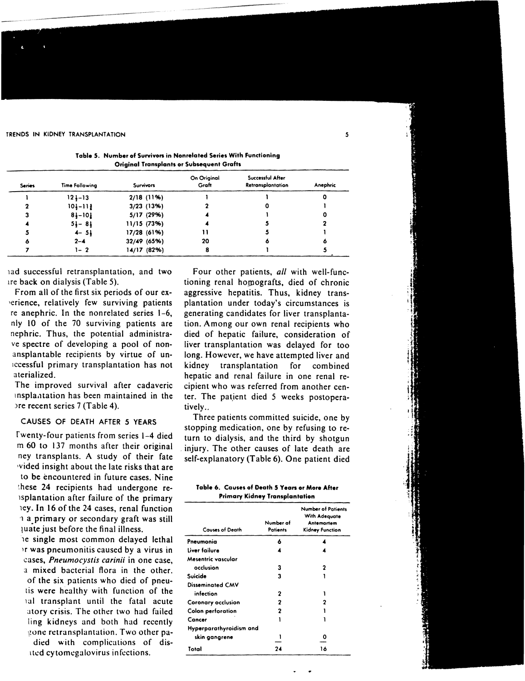TRENDS IN KIDNEY TRANSPLANTATION 5

|                                                  | Table 5. Number of Survivors in Nonrelated Series With Functioning |
|--------------------------------------------------|--------------------------------------------------------------------|
| <b>Original Transplants or Subsequent Grafts</b> |                                                                    |

| <b>Series</b> | Time Following | <b>Survivors</b> | On Original<br>Graft | Successful After<br><b>Retransplantation</b> | Anephric |
|---------------|----------------|------------------|----------------------|----------------------------------------------|----------|
|               | $124 - 13$     | $2/18$ (11%)     |                      |                                              |          |
|               | $101 - 111$    | $3/23$ (13%)     |                      |                                              |          |
|               | $8 - 10$       | 5/17 (29%)       |                      |                                              |          |
|               | $51 - 81$      | 11/15(73%)       |                      |                                              |          |
|               | $4 - 5$        | 17/28 (61%)      |                      |                                              |          |
|               | $2 - 4$        | 32/49 (65%)      | 20                   |                                              |          |
|               | 1- 2           | 14/17(82%)       | 8                    |                                              |          |

lad successful retransplantation, and two are back on dialysis (Table 5).

From all of the first six periods of our ex- 'erience, relatively few surviving patients re anephric. In the nonrelated series 1-6, nly 10 of the 70 surviving patients are nephric. Thus, the potential administrave spectre of developing a pool of nonansplantable recipients by virtue of unlccessful primary transplantation has not aterialized.

The improved survival after cadaveric Insplantation has been maintained in the )re recent series 7 (Table 4).

#### CAUSES OF DEATH AFTER 5 YEARS

fwenty-four patients from series \-4 died m 60 to 137 months after their original ney transplants. A study of their fate ,vided insight about the late risks that are to be encountered in future cases. Nine these 24 recipients had undergone relsplantation after failure of the primary ley. In 16 of the 24 cases, renal function '1 a primary or secondary graft was still 1 uate just before the final illness.

le single most common delayed lethal It was pneumonitis caused by a virus in cases, *Pneumocystis carinii* in one case, a mixed bacterial flora in the other. of the six patients who died of pneutis were healthy with function of the lal transplant until the fatal acute atory crisis. The other two had failed ling kidneys and both had recently gone retransplantation. Two other padied with complications of disated cy tomegalovirus infections.

Four other patients, *all* with well-functioning renal homografts, died of chronic aggressive hepatitis. Thus, kidney transplantation under today's circumstances is generating candidates for liver transplantation. Among our own renal recipients who died of hepatic failure, consideration of liver transplantation was delayed for too long. However, we have attempted liver and kidney transplantation for combined hepatic and renal failure in one renal recipient who was referred from another center. The patient died 5 weeks postoperatively..

Three patients committed suicide, one by stopping medication, one by refusing to return to dialysis, and the third by shotgun . injury. The other causes of late death are self-explanatory (Table 6). One patient died

| Table 6. Causes of Death 5 Years or More After |
|------------------------------------------------|
| <b>Primary Kidney Transplantation</b>          |

| rrimary Kianey Iranspiantation |                       |                                                                             |  |  |  |
|--------------------------------|-----------------------|-----------------------------------------------------------------------------|--|--|--|
| <b>Causes of Death</b>         | Number of<br>Patients | <b>Number of Patients</b><br>With Adequate<br>Antemortem<br>Kidney Function |  |  |  |
| Pneumonia                      | 6                     |                                                                             |  |  |  |
| Liver failure                  | 4                     |                                                                             |  |  |  |
| Mesentric vascular             |                       |                                                                             |  |  |  |
| occlusion                      | 3                     | 2                                                                           |  |  |  |
| Suicide                        | 3                     |                                                                             |  |  |  |
| Disseminated CMV               |                       |                                                                             |  |  |  |
| infection                      | 2                     |                                                                             |  |  |  |
| Coronary occlusion             | 2                     |                                                                             |  |  |  |
| Colon perforation              | 2                     |                                                                             |  |  |  |
| Cancer                         |                       |                                                                             |  |  |  |
| Hyperparathyroidism and        |                       |                                                                             |  |  |  |
| skin gangrene                  |                       | o                                                                           |  |  |  |
| Total                          | 24                    | 16                                                                          |  |  |  |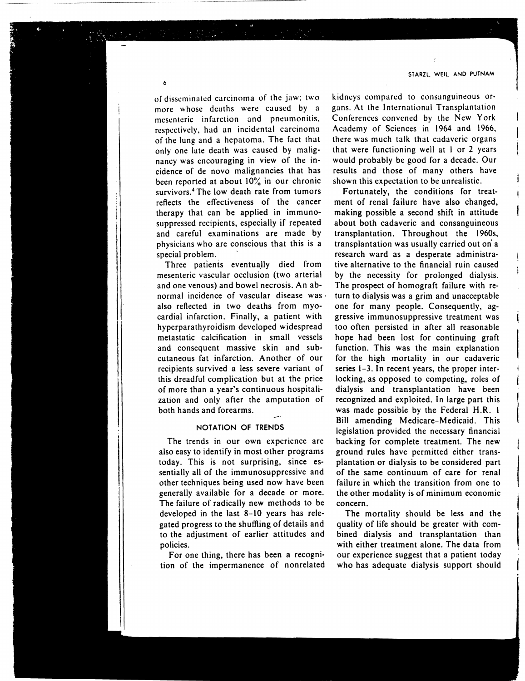or disseminated carcinoma of the jaw: two more whose deaths were caused by a mesenteric infarction and pneumonitis, respectively, had an incidental carcinoma of the lung and a hepatoma. The fact that only one late death was caused by malignancy was encouraging in view of the incidence of de novo malignancies that has been reported at about 10% in our chronic survivors.<sup>4</sup> The low death rate from tumors reflects the effectiveness of the cancer therapy that can be applied in immunosuppressed recipients, especially if repeated and careful examinations are made by physicians who are conscious that this is a special problem.

Three patients eventually died from mesenteric vascular occlusion (two arterial and one venous) and bowel necrosis. An abnormal incidence of vascular disease was· also reflected in two deaths from myocardial infarction. Finally, a patient with hyperparathyroidism developed widespread metastatic calcification in small vessels and consequent massive skin and subcutaneous fat infarction. Another of our recipients survived a less severe variant of this dreadful complication but at the price of more than a year's continuous hospitalization and only after the amputation of both hands and forearms.

#### NOTATION OF TRENDS

The trends in our own experience are also easy to identify in most other programs today. This is not surprising. since essentially all of the immunosuppressive and other techniques being used now have been generally available for a decade or more. The failure of radically new methods to be developed in the last 8-10 years has relegated progress to the shuffling of details and to the adjustment of earlier attitudes and policies.

For one thing, there has been a recognition of the impermanence of nonrelated

kidneys compared to consanguineous organs. At the International Transplantation Conferences convened by the New York Academy of Sciences in 1964 and 1966, there was much talk that cadaveric organs that were functioning well at 1 or 2 years would probably be good for a decade. Our results and those of many others have shown this expectation to be unrealistic.

Fortunately, the conditions for treatment of renal failure have also changed, making possible a second shift in attitude about both cadaveric and consanguineous transplantation. Throughout the 1960s, transplantation was usually carried out on' a research ward as a desperate administrative alternative to the financial ruin caused by the necessity for prolonged dialysis. The prospect of homograft failure with return to dialysis was a grim and unacceptable one for many people. Consequently, aggressive immunosuppressive treatment was too often persisted in after all reasonable hope had been lost for continuing graft function. This was the main explanation for the high mortality in our cadaveric series 1-3. In recent years, the proper interlocking, as opposed to competing, roles of dialysis and transplantation have been recognized and exploited. In large part this was made possible by the Federal H.R. I Bill amending Medicare-Medicaid. This legislation provided the necessary financial backing for complete treatment. The new ground rules have permitted either transplantation or dialysis to be considered part of the same continuum of care for renal failure in which the transition from one to the other modality is of minimum economic concern.

The mortality should be less and the quality of life should be greater with combined dialysis and transplantation than with either treatment alone. The data from our experience suggest that a patient today who has adequate dialysis support should

6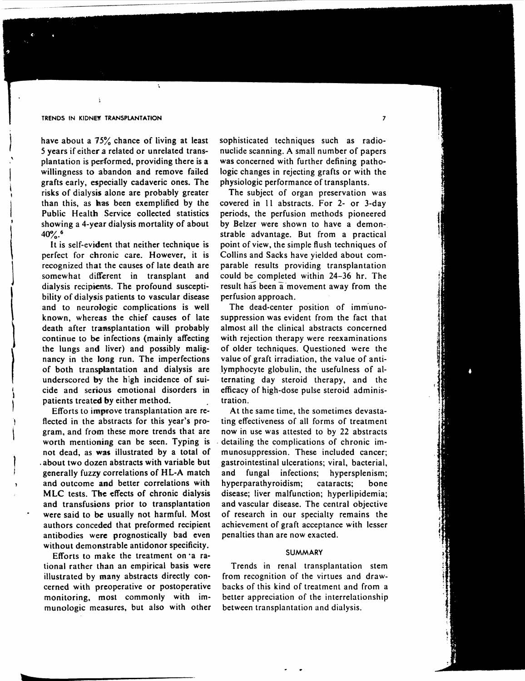#### TRENDS IN KIDNEY TRANSPLANTATION

have about a  $75\%$  chance of living at least 5 years if either a related or unrelated transplantation is periormed, providing there is a willingness to abandon and remove failed grafts early, especially cadaveric ones. The risks of dialysis alone are probably greater than this, as has been exemplified by the Public Health Service collected statistics showing a 4-year dialysis mortality of about  $40\%$ <sup>6</sup>

It is self-evident that neither technique is perfect for chronic care. However, it is recognized that the causes of late death are somewhat different in transplant and dialysis recipients. The profound susceptibility of dialysis patients to vascular disease and to neurologic complications is well known, whereas the chief causes of late death after transplantation will probably continue to be infections (mainly affecting the lungs and liver) and possibly malignancy in the long run. The imperfections of both transplantation and dialysis are underscored by the high incidence of suicide and serious emotional disorders in patients treated by either method.

 $\begin{bmatrix} 1 & 1 \\ 1 & 1 \end{bmatrix}$ 

I  $\mathbf{I}$ 

Efforts to improve transplantation are reflected in the abstracts for this year's program, and from these more trends that are worth mentioning can be seen. Typing is not dead, as was illustrated by a total of . about two dozen abstracts with variable but generally fuzzy correlations of HL-A match and outcome and better correlations with MLC tests. The effects of chronic dialysis and transfusions prior to transplantation were said to be usually not harmful. Most authors conceded that preformed recipient antibodies were prognostically bad even without demonstrable antidonor specificity.

Efforts to make the treatment on·a rational rather than an empirical basis were illustrated by many abstracts directly concerned with preoperative or postoperative monitoring, most commonly with immunologic measures, but also with other sophisticated techniques such as radionuclide scanning. A small number of papers was concerned with further defining pathologic changes in rejecting grafts or with the physiologic performance of transplants.

The subject of organ preservation was covered in II abstracts. For 2- or 3-day periods, the perfusion methods pioneered by Belzer were shown to have a demonstrable advantage. But from a practical point of view, the simple flush techniques of Collins and Sacks have yielded about comparable results providing transplantation could be completed within 24-36 hr. The result has been a movement away from the perfusion approach.

The dead-center position of immunosuppression was evident from the fact that almost all the clinical abstracts concerned with rejection therapy were reexaminations of older techniques. Questioned were the value of graft irradiation, the value of antilymphocyte globulin, the usefulness of alternating day steroid therapy, and the efficacy of high-dose pulse steroid administration.

At the same time, the sometimes devastating effectiveness of all forms of treatment now in use was attested to by 22 abstracts . detailing the complications of chronic immunosuppression. These included cancer; gastrointestinal ulcerations; viral, bacterial, and fungal infections; hypersplenism; hyperparathyroidism; cataracts; bone disease; liver malfunction; hyperlipidemia; and vascular disease. The central objective of research in our specialty remains the achievement of graft acceptance with lesser penalties than are now exacted.

#### SUMMARY

Trends in renal transplantation stem from recognition of the virtues and drawbacks of this kind of treatment and from a better appreciation of the interrelationship between transplantation and dialysis.

7